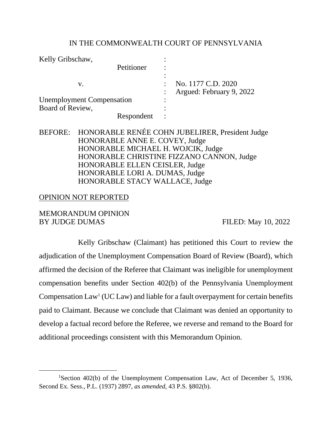## IN THE COMMONWEALTH COURT OF PENNSYLVANIA

| Kelly Gribschaw,                 |                          |
|----------------------------------|--------------------------|
| Petitioner                       |                          |
|                                  |                          |
| V.                               | No. 1177 C.D. 2020       |
|                                  | Argued: February 9, 2022 |
| <b>Unemployment Compensation</b> |                          |
| Board of Review,                 |                          |
| Respondent                       |                          |

## BEFORE: HONORABLE RENÉE COHN JUBELIRER, President Judge HONORABLE ANNE E. COVEY, Judge HONORABLE MICHAEL H. WOJCIK, Judge HONORABLE CHRISTINE FIZZANO CANNON, Judge HONORABLE ELLEN CEISLER, Judge HONORABLE LORI A. DUMAS, Judge HONORABLE STACY WALLACE, Judge

## OPINION NOT REPORTED

MEMORANDUM OPINION BY JUDGE DUMAS FILED: May 10, 2022

Kelly Gribschaw (Claimant) has petitioned this Court to review the adjudication of the Unemployment Compensation Board of Review (Board), which affirmed the decision of the Referee that Claimant was ineligible for unemployment compensation benefits under Section 402(b) of the Pennsylvania Unemployment Compensation  $Law<sup>1</sup>$  (UC Law) and liable for a fault overpayment for certain benefits paid to Claimant. Because we conclude that Claimant was denied an opportunity to develop a factual record before the Referee, we reverse and remand to the Board for additional proceedings consistent with this Memorandum Opinion.

<sup>&</sup>lt;sup>1</sup>Section 402(b) of the Unemployment Compensation Law, Act of December 5, 1936, Second Ex. Sess., P.L. (1937) 2897, *as amended*, 43 P.S. §802(b).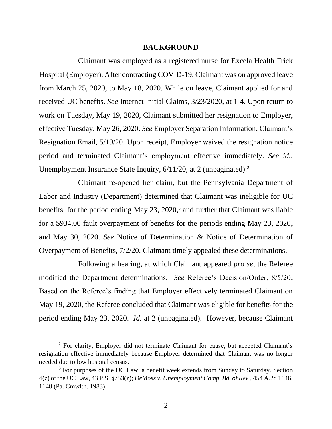#### **BACKGROUND**

Claimant was employed as a registered nurse for Excela Health Frick Hospital (Employer). After contracting COVID-19, Claimant was on approved leave from March 25, 2020, to May 18, 2020. While on leave, Claimant applied for and received UC benefits. *See* Internet Initial Claims, 3/23/2020, at 1-4. Upon return to work on Tuesday, May 19, 2020, Claimant submitted her resignation to Employer, effective Tuesday, May 26, 2020. *See* Employer Separation Information, Claimant's Resignation Email, 5/19/20. Upon receipt, Employer waived the resignation notice period and terminated Claimant's employment effective immediately. *See id.*, Unemployment Insurance State Inquiry, 6/11/20, at 2 (unpaginated).<sup>2</sup>

Claimant re-opened her claim, but the Pennsylvania Department of Labor and Industry (Department) determined that Claimant was ineligible for UC benefits, for the period ending May 23, 2020, <sup>3</sup> and further that Claimant was liable for a \$934.00 fault overpayment of benefits for the periods ending May 23, 2020, and May 30, 2020. *See* Notice of Determination & Notice of Determination of Overpayment of Benefits, 7/2/20. Claimant timely appealed these determinations.

Following a hearing, at which Claimant appeared *pro se*, the Referee modified the Department determinations. *See* Referee's Decision/Order, 8/5/20. Based on the Referee's finding that Employer effectively terminated Claimant on May 19, 2020, the Referee concluded that Claimant was eligible for benefits for the period ending May 23, 2020. *Id.* at 2 (unpaginated). However, because Claimant

<sup>&</sup>lt;sup>2</sup> For clarity, Employer did not terminate Claimant for cause, but accepted Claimant's resignation effective immediately because Employer determined that Claimant was no longer needed due to low hospital census.

<sup>&</sup>lt;sup>3</sup> For purposes of the UC Law, a benefit week extends from Sunday to Saturday. Section 4(z) of the UC Law, 43 P.S. §753(z); *DeMoss v. Unemployment Comp. Bd. of Rev.*, 454 A.2d 1146, 1148 (Pa. Cmwlth. 1983).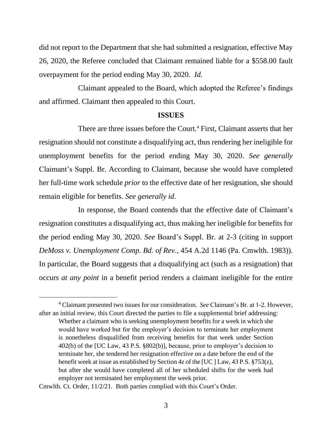did not report to the Department that she had submitted a resignation, effective May 26, 2020, the Referee concluded that Claimant remained liable for a \$558.00 fault overpayment for the period ending May 30, 2020. *Id.*

Claimant appealed to the Board, which adopted the Referee's findings and affirmed. Claimant then appealed to this Court.

#### **ISSUES**

There are three issues before the Court.<sup>4</sup> First, Claimant asserts that her resignation should not constitute a disqualifying act, thus rendering her ineligible for unemployment benefits for the period ending May 30, 2020. *See generally* Claimant's Suppl. Br. According to Claimant, because she would have completed her full-time work schedule *prior* to the effective date of her resignation, she should remain eligible for benefits. *See generally id.*

In response, the Board contends that the effective date of Claimant's resignation constitutes a disqualifying act, thus making her ineligible for benefits for the period ending May 30, 2020. *See* Board's Suppl. Br. at 2-3 (citing in support *DeMoss v. Unemployment Comp. Bd. of Rev.*, 454 A.2d 1146 (Pa. Cmwlth. 1983)). In particular, the Board suggests that a disqualifying act (such as a resignation) that occurs *at any point* in a benefit period renders a claimant ineligible for the entire

<sup>4</sup> Claimant presented two issues for our consideration. *See* Claimant's Br. at 1-2. However, after an initial review, this Court directed the parties to file a supplemental brief addressing: Whether a claimant who is seeking unemployment benefits for a week in which she would have worked but for the employer's decision to terminate her employment is nonetheless disqualified from receiving benefits for that week under Section 402(b) of the [UC Law, 43 P.S. §802(b)], because, prior to employer's decision to terminate her, she tendered her resignation effective on a date before the end of the benefit week at issue as established by Section 4z of the [UC ] Law, 43 P.S.  $\S 753(z)$ , but after she would have completed all of her scheduled shifts for the week had employer not terminated her employment the week prior.

Cmwlth. Ct. Order, 11/2/21. Both parties complied with this Court's Order.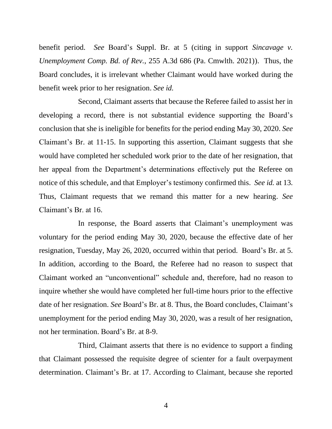benefit period. *See* Board's Suppl. Br. at 5 (citing in support *Sincavage v. Unemployment Comp. Bd. of Rev.*, 255 A.3d 686 (Pa. Cmwlth. 2021)). Thus, the Board concludes, it is irrelevant whether Claimant would have worked during the benefit week prior to her resignation. *See id.*

Second, Claimant asserts that because the Referee failed to assist her in developing a record, there is not substantial evidence supporting the Board's conclusion that she is ineligible for benefits for the period ending May 30, 2020. *See* Claimant's Br. at 11-15. In supporting this assertion, Claimant suggests that she would have completed her scheduled work prior to the date of her resignation, that her appeal from the Department's determinations effectively put the Referee on notice of this schedule, and that Employer's testimony confirmed this. *See id.* at 13. Thus, Claimant requests that we remand this matter for a new hearing. *See* Claimant's Br. at 16.

In response, the Board asserts that Claimant's unemployment was voluntary for the period ending May 30, 2020, because the effective date of her resignation, Tuesday, May 26, 2020, occurred within that period. Board's Br. at 5. In addition, according to the Board, the Referee had no reason to suspect that Claimant worked an "unconventional" schedule and, therefore, had no reason to inquire whether she would have completed her full-time hours prior to the effective date of her resignation. *See* Board's Br. at 8. Thus, the Board concludes, Claimant's unemployment for the period ending May 30, 2020, was a result of her resignation, not her termination. Board's Br. at 8-9.

Third, Claimant asserts that there is no evidence to support a finding that Claimant possessed the requisite degree of scienter for a fault overpayment determination. Claimant's Br. at 17. According to Claimant, because she reported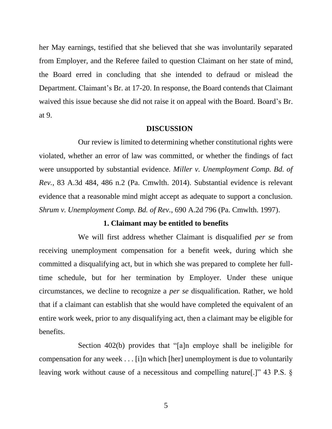her May earnings, testified that she believed that she was involuntarily separated from Employer, and the Referee failed to question Claimant on her state of mind, the Board erred in concluding that she intended to defraud or mislead the Department. Claimant's Br. at 17-20. In response, the Board contends that Claimant waived this issue because she did not raise it on appeal with the Board. Board's Br. at 9.

## **DISCUSSION**

Our review is limited to determining whether constitutional rights were violated, whether an error of law was committed, or whether the findings of fact were unsupported by substantial evidence. *Miller v. Unemployment Comp. Bd. of Rev.*, 83 A.3d 484, 486 n.2 (Pa. Cmwlth. 2014). Substantial evidence is relevant evidence that a reasonable mind might accept as adequate to support a conclusion. *Shrum v. Unemployment Comp. Bd. of Rev.*, 690 A.2d 796 (Pa. Cmwlth. 1997).

### **1. Claimant may be entitled to benefits**

We will first address whether Claimant is disqualified *per se* from receiving unemployment compensation for a benefit week, during which she committed a disqualifying act, but in which she was prepared to complete her fulltime schedule, but for her termination by Employer. Under these unique circumstances, we decline to recognize a *per se* disqualification. Rather, we hold that if a claimant can establish that she would have completed the equivalent of an entire work week, prior to any disqualifying act, then a claimant may be eligible for benefits.

Section 402(b) provides that "[a]n employe shall be ineligible for compensation for any week . . . [i]n which [her] unemployment is due to voluntarily leaving work without cause of a necessitous and compelling nature[.]" 43 P.S. §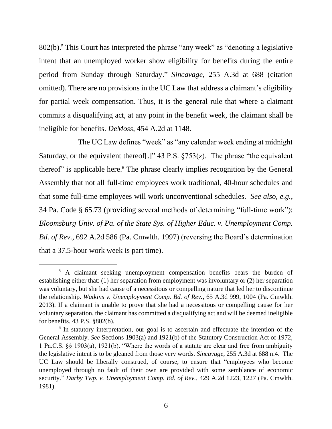802(b). <sup>5</sup> This Court has interpreted the phrase "any week" as "denoting a legislative intent that an unemployed worker show eligibility for benefits during the entire period from Sunday through Saturday." *Sincavage*, 255 A.3d at 688 (citation omitted). There are no provisions in the UC Law that address a claimant's eligibility for partial week compensation. Thus, it is the general rule that where a claimant commits a disqualifying act, at any point in the benefit week, the claimant shall be ineligible for benefits. *DeMoss*, 454 A.2d at 1148.

The UC Law defines "week" as "any calendar week ending at midnight Saturday, or the equivalent thereof[.]" 43 P.S.  $\S 753(z)$ . The phrase "the equivalent thereof" is applicable here.<sup>6</sup> The phrase clearly implies recognition by the General Assembly that not all full-time employees work traditional, 40-hour schedules and that some full-time employees will work unconventional schedules. *See also, e.g.*, 34 Pa. Code § 65.73 (providing several methods of determining "full-time work"); *Bloomsburg Univ. of Pa. of the State Sys. of Higher Educ. v. Unemployment Comp. Bd. of Rev.*, 692 A.2d 586 (Pa. Cmwlth. 1997) (reversing the Board's determination that a 37.5-hour work week is part time).

<sup>&</sup>lt;sup>5</sup> A claimant seeking unemployment compensation benefits bears the burden of establishing either that: (1) her separation from employment was involuntary or (2) her separation was voluntary, but she had cause of a necessitous or compelling nature that led her to discontinue the relationship. *Watkins v. Unemployment Comp. Bd. of Rev.,* 65 A.3d 999, 1004 (Pa. Cmwlth. 2013). If a claimant is unable to prove that she had a necessitous or compelling cause for her voluntary separation, the claimant has committed a disqualifying act and will be deemed ineligible for benefits. 43 P.S. §802(b).

<sup>&</sup>lt;sup>6</sup> In statutory interpretation, our goal is to ascertain and effectuate the intention of the General Assembly. *See* Sections 1903(a) and 1921(b) of the Statutory Construction Act of 1972, 1 Pa.C.S. §§ 1903(a), 1921(b). "Where the words of a statute are clear and free from ambiguity the legislative intent is to be gleaned from those very words. *Sincavage*, 255 A.3d at 688 n.4. The UC Law should be liberally construed, of course, to ensure that "employees who become unemployed through no fault of their own are provided with some semblance of economic security." *Darby Twp. v. Unemployment Comp. Bd. of Rev.*, 429 A.2d 1223, 1227 (Pa. Cmwlth. 1981).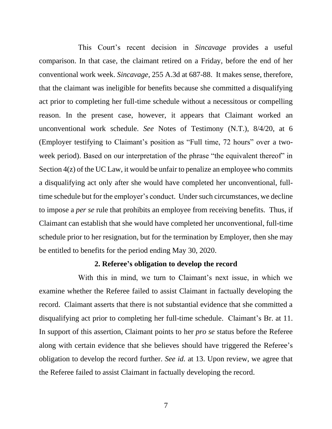This Court's recent decision in *Sincavage* provides a useful comparison. In that case, the claimant retired on a Friday, before the end of her conventional work week. *Sincavage*, 255 A.3d at 687-88. It makes sense, therefore, that the claimant was ineligible for benefits because she committed a disqualifying act prior to completing her full-time schedule without a necessitous or compelling reason. In the present case, however, it appears that Claimant worked an unconventional work schedule. *See* Notes of Testimony (N.T.), 8/4/20, at 6 (Employer testifying to Claimant's position as "Full time, 72 hours" over a twoweek period). Based on our interpretation of the phrase "the equivalent thereof" in Section 4(z) of the UC Law, it would be unfair to penalize an employee who commits a disqualifying act only after she would have completed her unconventional, fulltime schedule but for the employer's conduct. Under such circumstances, we decline to impose a *per se* rule that prohibits an employee from receiving benefits. Thus, if Claimant can establish that she would have completed her unconventional, full-time schedule prior to her resignation, but for the termination by Employer, then she may be entitled to benefits for the period ending May 30, 2020.

#### **2. Referee's obligation to develop the record**

With this in mind, we turn to Claimant's next issue, in which we examine whether the Referee failed to assist Claimant in factually developing the record. Claimant asserts that there is not substantial evidence that she committed a disqualifying act prior to completing her full-time schedule. Claimant's Br. at 11. In support of this assertion, Claimant points to her *pro se* status before the Referee along with certain evidence that she believes should have triggered the Referee's obligation to develop the record further. *See id.* at 13. Upon review, we agree that the Referee failed to assist Claimant in factually developing the record.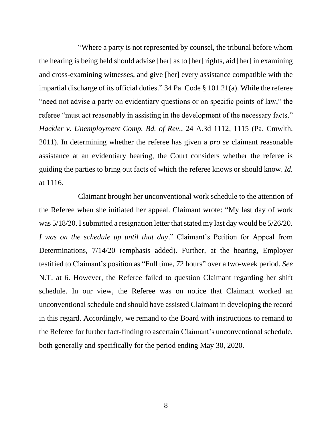"Where a party is not represented by counsel, the tribunal before whom the hearing is being held should advise [her] as to [her] rights, aid [her] in examining and cross-examining witnesses, and give [her] every assistance compatible with the impartial discharge of its official duties." 34 Pa. Code § 101.21(a). While the referee "need not advise a party on evidentiary questions or on specific points of law," the referee "must act reasonably in assisting in the development of the necessary facts." *Hackler v. Unemployment Comp. Bd. of Rev.*, 24 A.3d 1112, 1115 (Pa. Cmwlth. 2011). In determining whether the referee has given a *pro se* claimant reasonable assistance at an evidentiary hearing, the Court considers whether the referee is guiding the parties to bring out facts of which the referee knows or should know. *Id.*  at 1116.

Claimant brought her unconventional work schedule to the attention of the Referee when she initiated her appeal. Claimant wrote: "My last day of work was 5/18/20. I submitted a resignation letter that stated my last day would be 5/26/20. *I was on the schedule up until that day*." Claimant's Petition for Appeal from Determinations, 7/14/20 (emphasis added). Further, at the hearing, Employer testified to Claimant's position as "Full time, 72 hours" over a two-week period. *See* N.T. at 6. However, the Referee failed to question Claimant regarding her shift schedule. In our view, the Referee was on notice that Claimant worked an unconventional schedule and should have assisted Claimant in developing the record in this regard. Accordingly, we remand to the Board with instructions to remand to the Referee for further fact-finding to ascertain Claimant's unconventional schedule, both generally and specifically for the period ending May 30, 2020.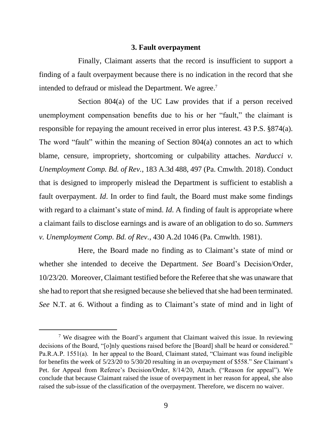#### **3. Fault overpayment**

Finally, Claimant asserts that the record is insufficient to support a finding of a fault overpayment because there is no indication in the record that she intended to defraud or mislead the Department. We agree.<sup>7</sup>

Section 804(a) of the UC Law provides that if a person received unemployment compensation benefits due to his or her "fault," the claimant is responsible for repaying the amount received in error plus interest. 43 P.S. §874(a). The word "fault" within the meaning of Section 804(a) connotes an act to which blame, censure, impropriety, shortcoming or culpability attaches. *Narducci v. Unemployment Comp. Bd. of Rev.*, 183 A.3d 488, 497 (Pa. Cmwlth. 2018). Conduct that is designed to improperly mislead the Department is sufficient to establish a fault overpayment. *Id*. In order to find fault, the Board must make some findings with regard to a claimant's state of mind. *Id*. A finding of fault is appropriate where a claimant fails to disclose earnings and is aware of an obligation to do so. *Summers v. Unemployment Comp. Bd. of Rev.*, 430 A.2d 1046 (Pa. Cmwlth. 1981).

Here, the Board made no finding as to Claimant's state of mind or whether she intended to deceive the Department. *See* Board's Decision/Order, 10/23/20. Moreover, Claimant testified before the Referee that she was unaware that she had to report that she resigned because she believed that she had been terminated. *See* N.T. at 6. Without a finding as to Claimant's state of mind and in light of

<sup>&</sup>lt;sup>7</sup> We disagree with the Board's argument that Claimant waived this issue. In reviewing decisions of the Board, "[o]nly questions raised before the [Board] shall be heard or considered." Pa.R.A.P. 1551(a). In her appeal to the Board, Claimant stated, "Claimant was found ineligible for benefits the week of 5/23/20 to 5/30/20 resulting in an overpayment of \$558." *See* Claimant's Pet. for Appeal from Referee's Decision/Order, 8/14/20, Attach. ("Reason for appeal"). We conclude that because Claimant raised the issue of overpayment in her reason for appeal, she also raised the sub-issue of the classification of the overpayment. Therefore, we discern no waiver.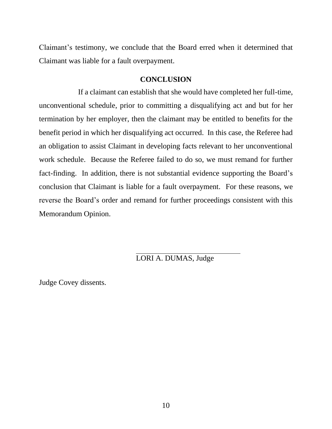Claimant's testimony, we conclude that the Board erred when it determined that Claimant was liable for a fault overpayment.

### **CONCLUSION**

If a claimant can establish that she would have completed her full-time, unconventional schedule, prior to committing a disqualifying act and but for her termination by her employer, then the claimant may be entitled to benefits for the benefit period in which her disqualifying act occurred. In this case, the Referee had an obligation to assist Claimant in developing facts relevant to her unconventional work schedule. Because the Referee failed to do so, we must remand for further fact-finding. In addition, there is not substantial evidence supporting the Board's conclusion that Claimant is liable for a fault overpayment. For these reasons, we reverse the Board's order and remand for further proceedings consistent with this Memorandum Opinion.

# LORI A. DUMAS, Judge

Judge Covey dissents.